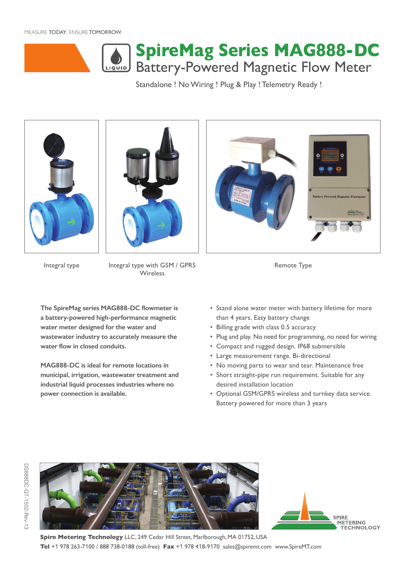MEASURE TODAY. ENSURE TOMORROW.



# Battery-Powered Magnetic Flow Meter **SpireMag Series MAG888-DC**

Standalone ! No Wiring ! Plug & Play ! Telemetry Ready !





Integral type Integral type with GSM / GPRS Remote Type **Wireless** 



**The SpireMag series MAG888-DC flowmeter is a battery-powered high-performance magnetic water meter designed for the water and wastewater industry to accurately measure the water flow in closed conduits.** 

**MAG888-DC is ideal for remote locations in municipal, irrigation, wastewater treatment and industrial liquid processes industries where no power connection is available.** 

- Stand alone water meter with battery lifetime for more than 4 years. Easy battery change
- Billing grade with class 0.5 accuracy
- Plug and play. No need for programming, no need for wiring
- Compact and rugged design. IP68 submersible
- Large measurement range. Bi-directional
- No moving parts to wear and tear. Maintenance free
- Short straight-pipe run requirement. Suitable for any desired installation location
- Optional GSM/GPRS wireless and turnkey data service. Battery powered for more than 3 years





**Spire Metering Technology** LLC, 249 Cedar Hill Street, Marlborough, MA 01752, USA **Tel** +1 978 263-7100 / 888 738-0188 (toll-free) **Fax** +1 978 418-9170 sales@spiremt.com www.SpireMT.com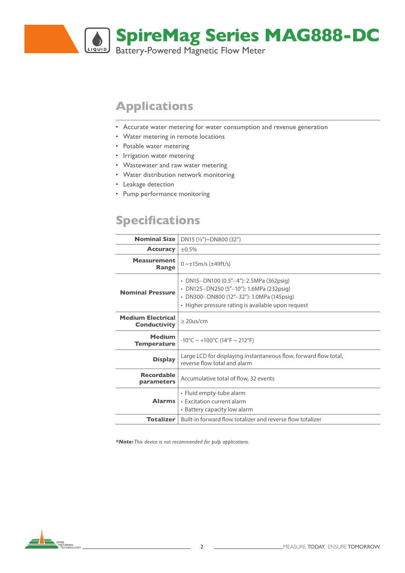

# **Applications**

- Accurate water metering for water consumption and revenue generation
- Water metering in remote locations
- Potable water metering
- Irrigation water metering
- Wastewater and raw water metering
- Water distribution network monitoring
- Leakage detection
- Pump performance monitoring

# **Specifications**

| <b>Nominal Size</b>                             | DN15 $(\frac{1}{2})$ ~DN800 (32")                                                                                                                                                       |
|-------------------------------------------------|-----------------------------------------------------------------------------------------------------------------------------------------------------------------------------------------|
| <b>Accuracy</b>                                 | ±0.5%                                                                                                                                                                                   |
| <b>Measurement</b><br>Range                     | $0 \sim \pm 15 \text{m/s}$ ( $\pm 49 \text{ft/s}$ )                                                                                                                                     |
| <b>Nominal Pressure</b>                         | • DN15~DN100 (0.5"~4"): 2.5MPa (362psig)<br>• DN125~DN250 (5"~10"): 1.6MPa (232psig)<br>• DN300~DN800 (12"~32"): 1.0MPa (145psiq)<br>• Higher pressure rating is available upon request |
| <b>Medium Electrical</b><br><b>Conductivity</b> | $> 20$ us/cm                                                                                                                                                                            |
| <b>Medium</b><br><b>Temperature</b>             | $-10^{\circ}$ C ~ $+100^{\circ}$ C (14°F ~ 212°F)                                                                                                                                       |
| <b>Display</b>                                  | Large LCD for displaying instantaneous flow, forward flow total,<br>reverse flow total and alarm                                                                                        |
| <b>Recordable</b><br>parameters                 | Accumulative total of flow, 32 events                                                                                                                                                   |
| <b>Alarms</b>                                   | • Fluid empty-tube alarm<br>• Excitation current alarm<br>• Battery capacity low alarm                                                                                                  |
| <b>Totalizer</b>                                | Built-in forward flow totalizer and reverse flow totalizer                                                                                                                              |
|                                                 |                                                                                                                                                                                         |

*\*Note: This device is not recommended for pulp applications.*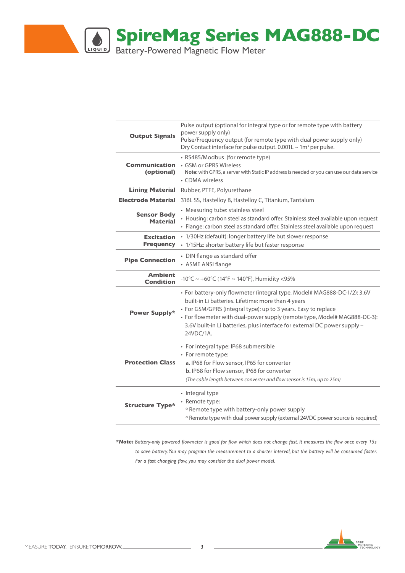

| <b>Output Signals</b>                 | Pulse output (optional for integral type or for remote type with battery<br>power supply only)<br>Pulse/Frequency output (for remote type with dual power supply only)<br>Dry Contact interface for pulse output. $0.001L \sim 1m^3$ per pulse.                                                                                                                         |
|---------------------------------------|-------------------------------------------------------------------------------------------------------------------------------------------------------------------------------------------------------------------------------------------------------------------------------------------------------------------------------------------------------------------------|
| <b>Communication</b><br>(optional)    | · RS485/Modbus (for remote type)<br>• GSM or GPRS Wireless<br>Note: with GPRS, a server with Static IP address is needed or you can use our data service<br>• CDMA wireless                                                                                                                                                                                             |
| <b>Lining Material</b>                | Rubber, PTFE, Polyurethane                                                                                                                                                                                                                                                                                                                                              |
| <b>Electrode Material</b>             | 316L SS, Hastelloy B, Hastelloy C, Titanium, Tantalum                                                                                                                                                                                                                                                                                                                   |
| <b>Sensor Body</b><br><b>Material</b> | • Measuring tube: stainless steel<br>• Housing: carbon steel as standard offer. Stainless steel available upon request<br>· Flange: carbon steel as standard offer. Stainless steel available upon request                                                                                                                                                              |
| <b>Excitation</b><br><b>Frequency</b> | • 1/30Hz (default): longer battery life but slower response<br>· 1/15Hz: shorter battery life but faster response                                                                                                                                                                                                                                                       |
| <b>Pipe Connection</b>                | • DIN flange as standard offer<br>• ASME ANSI flange                                                                                                                                                                                                                                                                                                                    |
| <b>Ambient</b><br>Condition           | -10°C ~ +60°C (14°F ~ 140°F), Humidity <95%                                                                                                                                                                                                                                                                                                                             |
| Power Supply*                         | · For battery-only flowmeter (integral type, Model# MAG888-DC-1/2): 3.6V<br>built-in Li batteries. Lifetime: more than 4 years<br>• For GSM/GPRS (integral type): up to 3 years. Easy to replace<br>• For flowmeter with dual-power supply (remote type, Model# MAG888-DC-3):<br>3.6V built-in Li batteries, plus interface for external DC power supply -<br>24VDC/1A. |
| <b>Protection Class</b>               | • For integral type: IP68 submersible<br>• For remote type:<br>a. IP68 for Flow sensor, IP65 for converter<br>b. IP68 for Flow sensor, IP68 for converter<br>(The cable length between converter and flow sensor is 15m, up to 25m)                                                                                                                                     |
| <b>Structure Type*</b>                | • Integral type<br>• Remote type:<br><sup>o</sup> Remote type with battery-only power supply<br><sup>o</sup> Remote type with dual power supply (external 24VDC power source is required)                                                                                                                                                                               |

*\*Note: Battery-only powered flowmeter is good for flow which does not change fast. It measures the flow once every 15s to save battery. You may program the measurement to a shorter interval, but the battery will be consumed faster. For a fast changing flow, you may consider the dual power model.*



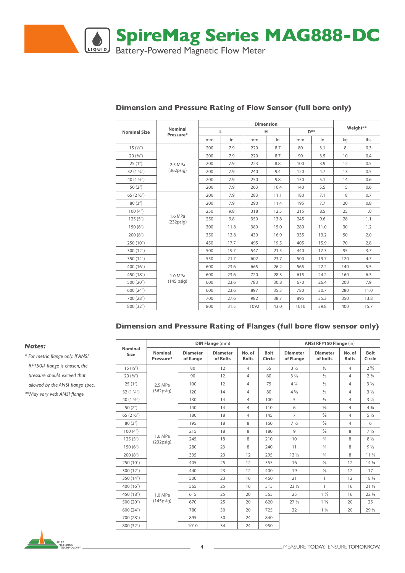

| <b>Nominal Size</b>   | Nominal<br>Pressure*     |     | L    |      | н    |      | D**  | Weight** |      |  |
|-----------------------|--------------------------|-----|------|------|------|------|------|----------|------|--|
|                       |                          | mm  | in   | mm   | in   | mm   | in   | kg       | Ibs  |  |
| 15(1/2")              |                          | 200 | 7.9  | 220  | 8.7  | 80   | 3.1  | 8        | 0.3  |  |
| 20(3/4")              |                          | 200 | 7.9  | 220  | 8.7  | 90   | 3.5  | 10       | 0.4  |  |
| 25(1")                | 2.5 MPa                  | 200 | 7.9  | 223  | 8.8  | 100  | 3.9  | 12       | 0.5  |  |
| $32(1\frac{1}{4})$    | $(362)$ psig)            | 200 | 7.9  | 240  | 9.4  | 120  | 4.7  | 13       | 0.5  |  |
| 40 $(1 \frac{1}{2})$  |                          | 200 | 7.9  | 250  | 9.8  | 130  | 5.1  | 14       | 0.6  |  |
| 50(2 <sup>''</sup> )  |                          | 200 | 7.9  | 263  | 10.4 | 140  | 5.5  | 15       | 0.6  |  |
| 65 $(2 \frac{1}{2})$  |                          | 200 | 7.9  | 283  | 11.1 | 180  | 7.1  | 18       | 0.7  |  |
| 80(3")                | 1.6 MPa<br>$(232)$ psig) | 200 | 7.9  | 290  | 11.4 | 195  | 7.7  | 20       | 0.8  |  |
| 100(4 <sup>''</sup> ) |                          | 250 | 9.8  | 318  | 12.5 | 215  | 8.5  | 25       | 1.0  |  |
| 125(5")               |                          | 250 | 9.8  | 350  | 13.8 | 245  | 9.6  | 28       | 1.1  |  |
| 150(6")               |                          | 300 | 11.8 | 380  | 15.0 | 280  | 11.0 | 30       | 1.2  |  |
| 200(8 <sup>''</sup> ) |                          | 350 | 13.8 | 430  | 16.9 | 335  | 13.2 | 50       | 2.0  |  |
| 250 (10")             |                          | 450 | 17.7 | 495  | 19.5 | 405  | 15.9 | 70       | 2.8  |  |
| 300 (12")             |                          | 500 | 19.7 | 547  | 21.5 | 440  | 17.3 | 95       | 3.7  |  |
| 350 (14")             |                          | 550 | 21.7 | 602  | 23.7 | 500  | 19.7 | 120      | 4.7  |  |
| 400 (16")             |                          | 600 | 23.6 | 665  | 26.2 | 565  | 22.2 | 140      | 5.5  |  |
| 450 (18")             | 1.0 MPa                  | 600 | 23.6 | 720  | 28.3 | 615  | 24.2 | 160      | 6.3  |  |
| 500 (20")             | $(145 \text{ psig})$     | 600 | 23.6 | 783  | 30.8 | 670  | 26.4 | 200      | 7.9  |  |
| 600 (24")             |                          | 600 | 23.6 | 897  | 35.3 | 780  | 30.7 | 280      | 11.0 |  |
| 700 (28")             |                          | 700 | 27.6 | 982  | 38.7 | 895  | 35.2 | 350      | 13.8 |  |
| 800 (32")             |                          | 800 | 31.5 | 1092 | 43.0 | 1010 | 39.8 | 400      | 15.7 |  |

#### **Dimension and Pressure Rating of Flow Sensor (full bore only)**

#### **Dimension and Pressure Rating of Flanges (full bore flow sensor only)**

|                        |                             |                                                             | <b>DIN Flange (mm)</b> |                        |                       | ANSI RF#150 Flange (in)       |                             |                        |                                |  |  |
|------------------------|-----------------------------|-------------------------------------------------------------|------------------------|------------------------|-----------------------|-------------------------------|-----------------------------|------------------------|--------------------------------|--|--|
| <b>Nominal</b><br>Size | <b>Nominal</b><br>Pressure* | <b>Diameter</b><br><b>Diameter</b><br>of Bolts<br>of flange |                        | No. of<br><b>Bolts</b> | <b>Bolt</b><br>Circle | <b>Diameter</b><br>of Flange  | <b>Diameter</b><br>of bolts | No. of<br><b>Bolts</b> | <b>Bolt</b><br>Circle          |  |  |
| 15(1/2")               |                             | 80                                                          | 12                     | $\overline{4}$         | 55                    | $3\frac{1}{2}$                | $\frac{1}{2}$               | $\overline{4}$         | $2\frac{3}{8}$                 |  |  |
| 20(3/4")               |                             | 90                                                          | 12                     | $\overline{4}$         | 60                    | $3\frac{7}{8}$                | $\frac{1}{2}$               | 4                      | 2 <sup>3</sup> / <sub>4</sub>  |  |  |
| 25(1")                 | 2.5 MPa                     | 100                                                         | 12                     | $\overline{4}$         | 75                    | $4\frac{1}{4}$                | $\frac{1}{2}$               | 4                      | $3\frac{1}{8}$                 |  |  |
| $32(1\frac{1}{4})$     | $(362)$ psig)               | 120                                                         | 14<br>4<br>80          |                        |                       | $4\frac{5}{8}$                | $\frac{1}{2}$               |                        | $3\frac{1}{2}$                 |  |  |
| 40 $(1\frac{1}{2})$    |                             | 130                                                         |                        | $\overline{4}$         | 100                   | 5                             | $\frac{1}{2}$               | 4                      | $3\frac{7}{8}$                 |  |  |
| 50 $(2'')$             |                             | 140                                                         | 14                     | 4                      | 110                   | 6                             | $\frac{5}{8}$               | 4                      | $4\frac{3}{4}$                 |  |  |
| 65 $(2\frac{1}{2})$    |                             | 180                                                         | 18                     | 4                      | 145                   | $\overline{7}$                | $\frac{5}{8}$               | 4                      | $5\frac{1}{2}$                 |  |  |
| 80(3")                 |                             | 195                                                         | 18                     | 8                      | 160                   | 7 <sup>1</sup> / <sub>2</sub> | $\frac{5}{8}$               | 4                      | 6                              |  |  |
| 100(4 <sup>''</sup> )  |                             | 215                                                         | 18                     | 8                      | 180                   | $\overline{9}$                | $\frac{5}{8}$               | 8                      | $7\frac{1}{2}$                 |  |  |
| 125(5")                | 1.6 MPa<br>$(232)$ psig)    | 245                                                         | 18                     | 8                      | 210                   | 10                            | $\frac{3}{4}$               | 8                      | $8\frac{1}{2}$                 |  |  |
| 150(6")                |                             | 280                                                         | 23                     | 8                      | 240                   | 11                            | $\frac{3}{4}$               | 8                      | $9\frac{1}{2}$                 |  |  |
| 200(8")                |                             | 335                                                         | 23                     | 12                     | 295                   | 13 <sub>2</sub>               | $\frac{3}{4}$               | 8                      | 11 <sup>3</sup> / <sub>4</sub> |  |  |
| 250 (10")              |                             | 405                                                         | 25                     | 12                     | 355                   | 16                            | $\frac{7}{8}$               | 12                     | $14\frac{1}{4}$                |  |  |
| 300(12 <sup>''</sup> ) |                             | 440                                                         | 23                     | 12                     | 400                   | 19                            | $\frac{7}{8}$               | 12                     | 17                             |  |  |
| 350 (14")              |                             | 500                                                         | 23                     | 16                     | 460                   | 21                            | $\mathbf{1}$                | 12                     | 18 3/4                         |  |  |
| 400 (16")              |                             | 565                                                         | 25                     | 16                     | 515                   | $23\frac{1}{2}$               | 1                           | 16                     | $21\frac{1}{4}$                |  |  |
| 450 (18")              | 1.0 MPa                     | 615<br>25                                                   |                        | 20                     | 565                   | 25                            | $1\frac{1}{8}$              | 16                     | 22 <sup>3</sup> / <sub>4</sub> |  |  |
| 500 (20")              | $(145)$ psig)               | 670                                                         | 25                     | 20                     | 620                   | 27 <sub>2</sub>               | $1\frac{1}{8}$              | 20                     | 25                             |  |  |
| 600 (24")              |                             | 780                                                         | 30                     | 20                     | 725                   | 32                            | $1\frac{1}{4}$              | 20                     | $29\frac{1}{2}$                |  |  |
| 700 (28")              |                             | 895                                                         | 30                     | 24                     | 840                   |                               |                             |                        |                                |  |  |
| 800 (32")              |                             | 1010                                                        | 34                     | 24                     | 950                   |                               |                             |                        |                                |  |  |

#### *Notes:*

*\* For metric flange only. If ANSI RF150# flange is chosen, the pressure should exceed that allowed by the ANSI flange spec. \*\*May vary with ANSI flange*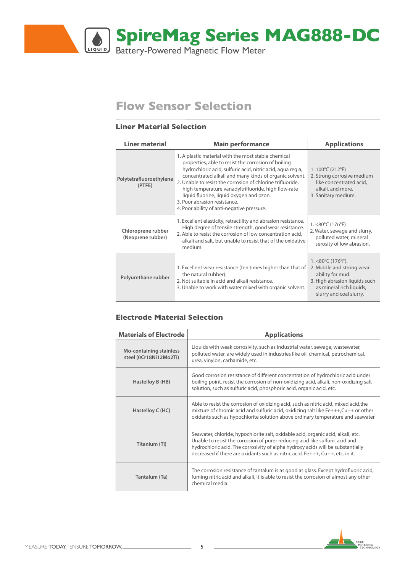

# **Flow Sensor Selection**

### **Liner Material Selection**

| <b>Liner material</b>                   | <b>Main performance</b>                                                                                                                                                                                                                                                                                                                                                                                                                                                           | <b>Applications</b>                                                                                                                                                              |  |  |  |
|-----------------------------------------|-----------------------------------------------------------------------------------------------------------------------------------------------------------------------------------------------------------------------------------------------------------------------------------------------------------------------------------------------------------------------------------------------------------------------------------------------------------------------------------|----------------------------------------------------------------------------------------------------------------------------------------------------------------------------------|--|--|--|
| Polytetrafluoroethylene<br>(PTFE)       | 1. A plastic material with the most stable chemical<br>properties, able to resist the corrosion of boiling<br>hydrochloric acid, sulfuric acid, nitric acid, aqua regia,<br>concentrated alkali and many kinds of organic solvent.<br>2. Unable to resist the corrosion of chlorine trifluoride,<br>high temperature vanadyltrifluoride, high flow-rate<br>liquid fluorine, liquid oxygen and ozon.<br>3. Poor abrasion resistance.<br>4. Poor ability of anti-negative pressure. | 1.100°C (212°F)<br>2. Strong corrosive medium<br>like concentrated acid,<br>alkali, and more.<br>3. Sanitary medium.                                                             |  |  |  |
| Chloroprene rubber<br>(Neoprene rubber) | 1. Excellent elasticity, retractility and abrasion resistance.<br>High degree of tensile strength, good wear resistance.<br>2. Able to resist the corrosion of low concentration acid,<br>alkali and salt, but unable to resist that of the oxidative<br>medium.                                                                                                                                                                                                                  |                                                                                                                                                                                  |  |  |  |
| Polyurethane rubber                     | 1. Excellent wear resistance (ten times higher than that of<br>the natural rubber).<br>2. Not suitable in acid and alkali resistance.<br>3. Unable to work with water mixed with organic solvent.                                                                                                                                                                                                                                                                                 | $1. < 80^{\circ}$ C (176 $^{\circ}$ F).<br>2. Middle and strong wear<br>ability for mud.<br>3. High abrasion liquids such<br>as mineral rich liquids,<br>slurry and coal slurry. |  |  |  |

#### **Electrode Material Selection**

| <b>Materials of Electrode</b>                            | <b>Applications</b>                                                                                                                                                                                                                                                                                                                        |
|----------------------------------------------------------|--------------------------------------------------------------------------------------------------------------------------------------------------------------------------------------------------------------------------------------------------------------------------------------------------------------------------------------------|
| <b>Mo-containing stainless</b><br>steel (0Cr18Ni12Mo2Ti) | Liquids with weak corrosivity, such as industrial water, sewage, wastewater,<br>polluted water, are widely used in industries like oil, chemical, petrochemical,<br>urea, vinylon, carbamide, etc.                                                                                                                                         |
| Hastelloy B (HB)                                         | Good corrosion resistance of different concentration of hydrochloric acid under<br>boiling point, resist the corrosion of non-oxidizing acid, alkali, non-oxidizing salt<br>solution, such as sulfuric acid, phosphoric acid, organic acid, etc.                                                                                           |
| Hastelloy C (HC)                                         | Able to resist the corrosion of oxidizing acid, such as nitric acid, mixed acid, the<br>mixture of chromic acid and sulfuric acid, oxidizing salt like Fe+++, Cu++ or other<br>oxidants such as hypochlorite solution above ordinary temperature and seawater                                                                              |
| Titanium (Ti)                                            | Seawater, chloride, hypochlorite salt, oxidable acid, organic acid, alkali, etc.<br>Unable to resist the corrosion of purer reducing acid like sulfuric acid and<br>hydrochloric acid. The corrosivity of alpha hydroxy acids will be substantially<br>decreased if there are oxidants such as nitric acid, $Fe$ +++, $Cu$ ++, etc. in it. |
| Tantalum (Ta)                                            | The corrosion resistance of tantalum is as good as glass. Except hydrofluoric acid,<br>fuming nitric acid and alkali, it is able to resist the corrosion of almost any other<br>chemical media.                                                                                                                                            |



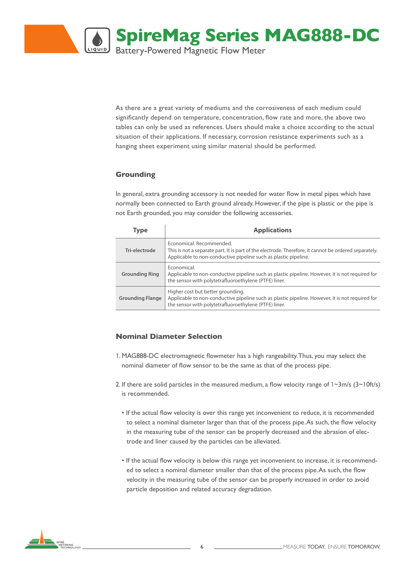

As there are a great variety of mediums and the corrosiveness of each medium could significantly depend on temperature, concentration, flow rate and more, the above two tables can only be used as references. Users should make a choice according to the actual situation of their applications. If necessary, corrosion resistance experiments such as a hanging sheet experiment using similar material should be performed.

### **Grounding**

In general, extra grounding accessory is not needed for water flow in metal pipes which have normally been connected to Earth ground already. However, if the pipe is plastic or the pipe is not Earth grounded, you may consider the following accessories.

| Type                    | <b>Applications</b>                                                                                                                                                                                  |
|-------------------------|------------------------------------------------------------------------------------------------------------------------------------------------------------------------------------------------------|
| Tri-electrode           | Economical, Recommended.<br>This is not a separate part. It is part of the electrode. Therefore, it cannot be ordered separately.<br>Applicable to non-conductive pipeline such as plastic pipeline. |
| <b>Grounding Ring</b>   | Economical.<br>Applicable to non-conductive pipeline such as plastic pipeline. However, it is not required for<br>the sensor with polytetrafluoroethylene (PTFE) liner.                              |
| <b>Grounding Flange</b> | Higher cost but better grounding.<br>Applicable to non-conductive pipeline such as plastic pipeline. However, it is not required for<br>the sensor with polytetrafluoroethylene (PTFE) liner.        |

### **Nominal Diameter Selection**

- 1. MAG888-DC electromagnetic flowmeter has a high rangeability. Thus, you may select the nominal diameter of flow sensor to be the same as that of the process pipe.
- 2. If there are solid particles in the measured medium, a flow velocity range of  $1~3~m/s$  ( $3~10~ft/s$ ) is recommended.
	- If the actual flow velocity is over this range yet inconvenient to reduce, it is recommended to select a nominal diameter larger than that of the process pipe. As such, the flow velocity in the measuring tube of the sensor can be properly decreased and the abrasion of electrode and liner caused by the particles can be alleviated.
	- If the actual flow velocity is below this range yet inconvenient to increase, it is recommended to select a nominal diameter smaller than that of the process pipe. As such, the flow velocity in the measuring tube of the sensor can be properly increased in order to avoid particle deposition and related accuracy degradation.

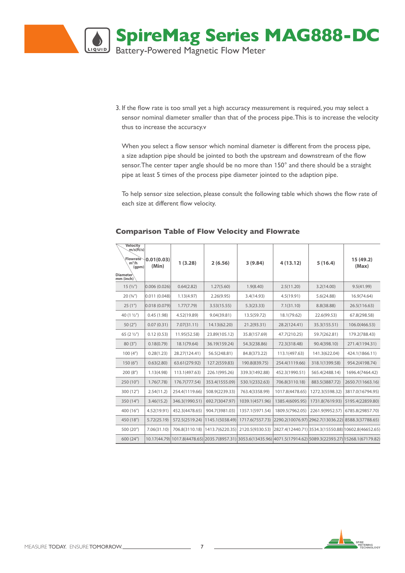

3. If the flow rate is too small yet a high accuracy measurement is required, you may select a sensor nominal diameter smaller than that of the process pipe. This is to increase the velocity thus to increase the accuracy.v

When you select a flow sensor which nominal diameter is different from the process pipe, a size adaption pipe should be jointed to both the upstream and downstream of the flow sensor. The center taper angle should be no more than 150° and there should be a straight pipe at least 5 times of the process pipe diameter jointed to the adaption pipe.

To help sensor size selection, please consult the following table which shows the flow rate of each size at different flow velocity.

| <b>Velocity</b><br>m/s(ft/s)<br>Flowrate<br>$m^3/h$<br>(gpm)<br>Diameter<br>mm (inch) | 0.01(0.03)<br>(Min) | 1(3.28)        | 2(6.56)         | 3(9.84)         | 4(13.12)        | 5(16.4)                           | 15 (49.2)<br>(Max)                                                                                                |
|---------------------------------------------------------------------------------------|---------------------|----------------|-----------------|-----------------|-----------------|-----------------------------------|-------------------------------------------------------------------------------------------------------------------|
| 15(1/2")                                                                              | 0.006(0.026)        | 0.64(2.82)     | 1.27(5.60)      | 1.9(8.40)       | 2.5(11.20)      | 3.2(14.00)                        | 9.5(41.99)                                                                                                        |
| 20(3/4")                                                                              | 0.011(0.048)        | 1.13(4.97)     | 2.26(9.95)      | 3.4(14.93)      | 4.5(19.91)      | 5.6(24.88)                        | 16.9(74.64)                                                                                                       |
| 25(1")                                                                                | 0.018(0.079)        | 1.77(7.79)     | 3.53(15.55)     | 5.3(23.33)      | 7.1(31.10)      | 8.8(38.88)                        | 26.5(116.63)                                                                                                      |
| 40 (1 1/2")                                                                           | 0.45(1.98)          | 4.52(19.89)    | 9.04(39.81)     | 13.5(59.72)     | 18.1(79.62)     | 22.6(99.53)                       | 67.8(298.58)                                                                                                      |
| 50(2 <sup>''</sup> )                                                                  | 0.07(0.31)          | 7.07(31.11)    | 14.13(62.20)    | 21.2(93.31)     | 28.2(124.41)    | 35.3(155.51)                      | 106.0(466.53)                                                                                                     |
| 65 $(2 \frac{1}{2})$                                                                  | 0.12(0.53)          | 11.95(52.58)   | 23.89(105.12)   | 35.8(157.69)    | 47.7(210.25)    | 59.7(262.81)                      | 179.2(788.43)                                                                                                     |
| 80(3")                                                                                | 0.18(0.79)          | 18.1(79.64)    | 36.19(159.24)   | 54.3(238.86)    | 72.3(318.48)    | 90.4(398.10)                      | 271.4(1194.31)                                                                                                    |
| 100(4 <sup>''</sup> )                                                                 | 0.28(1.23)          | 28.27(124.41)  | 56.5(248.81)    | 84.8(373.22)    | 113.1(497.63)   | 141.3(622.04)                     | 424.1(1866.11)                                                                                                    |
| 150(6")                                                                               | 0.63(2.80)          | 63.61(279.92)  | 127.2(559.83)   | 190.8(839.75)   | 254.4(1119.66)  | 318.1(1399.58)                    | 954.2(4198.74)                                                                                                    |
| 200(8 <sup>''</sup> )                                                                 | 1.13(4.98)          | 113.1(497.63)  | 226.1(995.26)   | 339.3(1492.88)  | 452.3(1990.51)  | 565.4(2488.14)                    | 1696.4(7464.42)                                                                                                   |
| 250 (10")                                                                             | 1.76(7.78)          | 176.7(777.54)  | 353.4(1555.09)  | 530.1(2332.63)  | 706.8(3110.18)  | 883.5(3887.72)                    | 2650.7(11663.16)                                                                                                  |
| 300 (12")                                                                             | 2.54(11.2)          | 254.4(1119.66) | 508.9(2239.33)  | 763.4(3358.99)  | 1017.8(4478.65) | 1272.3(5598.32)                   | 3817.0(16794.95)                                                                                                  |
| 350 (14")                                                                             | 3.46(15.2)          | 346.3(1990.51) | 692.7(3047.97)  | 1039.1(4571.96) | 1385.4(6095.95) | 1731.8(7619.93)                   | 5195.4(22859.80)                                                                                                  |
| 400 (16")                                                                             | 4.52(19.91)         | 452.3(4478.65) | 904.7(3981.03)  | 1357.1(5971.54) | 1809.5(7962.05) | 2261.9(9952.57)                   | 6785.8(29857.70)                                                                                                  |
| 450 (18")                                                                             | 5.72(25.19)         | 572.5(2519.24) | 1145.1(5038.49) | 1717.6(7557.73) |                 | 2290.2(10076.97) 2962.7(13036.22) | 8588.3(37788.65)                                                                                                  |
| 500 (20")                                                                             | 7.06(31.10)         | 706.8(3110.18) | 1413.7(6220.35) | 2120.5(9330.53) |                 |                                   | 2827.4(12440.71) 3534.3(15550.88) 10602.8(46652.65)                                                               |
| 600 (24")                                                                             |                     |                |                 |                 |                 |                                   | 10.17(44.79) 1017.8(4478.65) 2035.7(8957.31) 3053.6(13435.96) 4071.5(17914.62) 5089.3(22393.27) 15268.1(67179.82) |

#### **Comparison Table of Flow Velocity and Flowrate**